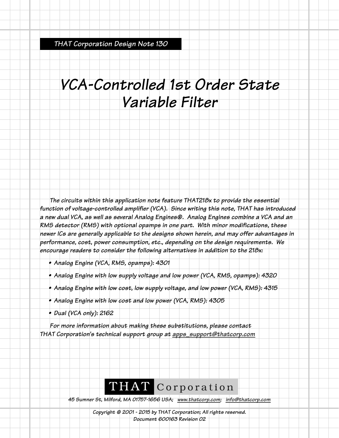*THAT Corporation Design Note 130*

# *VCA-Controlled 1st Order State Variable Filter*

*The circuits within this application note feature THAT218x to provide the essential function of voltage-controlled amplifier (VCA). Since writing this note, THAT has introduced a new dual VCA, as well as several Analog Engines®. Analog Engines combine a VCA and an RMS detector (RMS) with optional opamps in one part. With minor modifications, these newer ICs are generally applicable to the designs shown herein, and may offer advantages in performance, cost, power consumption, etc., depending on the design requirements. We encourage readers to consider the following alternatives in addition to the 218x:*

- y *Analog Engine (VCA, RMS, opamps): 4301*
- y *Analog Engine with low supply voltage and low power (VCA, RMS, opamps): 4320*
- y *Analog Engine with low cost, low supply voltage, and low power (VCA, RMS): 4315*
- y *Analog Engine with low cost and low power (VCA, RMS): 4305*
- y *Dual (VCA only): 2162*

*For more information about making these substitutions, please contact THAT Corporation's technical support group at apps\_support@thatcorp.com*

## THAT Corporation

*45 Sumner St, Milford, MA 01757-1656 USA; www.thatcorp.com; info@thatcorp.com*

*Copyright © 2001 - 2015 by THAT Corporation; All rights reserved. Document 600163 Revision 02*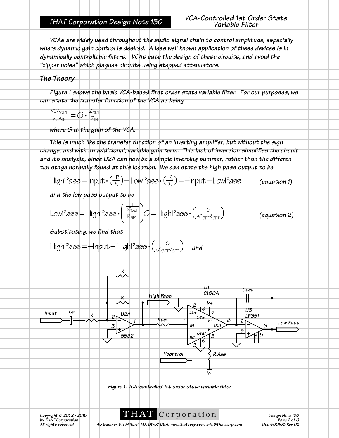*VCAs are widely used throughout the audio signal chain to control amplitude, especially where dynamic gain control is desired. A less well known application of these devices is in dynamically controllable filters. VCAs ease the design of these circuits, and avoid the "zipper noise" which plagues circuits using stepped attenuators.*

### *The Theory*

*Figure 1 shows the basic VCA-based first order state variable filter. For our purposes, we can state the transfer function of the VCA as being* 

$$
\frac{\text{VCA}_{\text{OUT}}}{\text{VCA}_{\text{IN}}} = G \cdot \frac{Z_{\text{OUT}}}{Z_{\text{IN}}}
$$

*where G is the gain of the VCA.*

*This is much like the transfer function of an inverting amplifier, but without the sign change, and with an additional, variable gain term. This lack of inversion simplifies the circuit and its analysis, since U2A can now be a simple inverting summer, rather than the differential stage normally found at this location. We can state the high pass output to be*

HighPaso=Input-(
$$
\frac{R}{R}
$$
) + LowPaso-( $\frac{R}{R}$ ) = -Input – LowPaso (equation 1)

*and the low pass output to be*

LowPaso = HighPaso - 
$$
\left(\frac{\frac{1}{eC_{SET}}}{R_{SET}}\right)G
$$
 = HighPaso -  $\left(\frac{G}{eC_{SET}R_{SET}}\right)$  (equation 2)

#### *Substituting, we find that*

HighPaso = -Input – HighPaso 
$$
\cdot \left( \frac{G}{sC_{SETRSET}} \right)
$$
 and



*Figure 1. VCA-controlled 1st order state variable filter*

*<i>b***y THAT © 2002 - 2015**<br>by THAT Corporation<br>All rights reserved

**Corporation**<br> *Copporation*<br> *C*, Milford, MA 01757 USA; www.thatcorp.com; info@thatcorp.com Doc 600163 Rev 02

*A5 Sumner St; Milford, MA 01757 USA; www.thatcorp.com; info@thatcorp.com*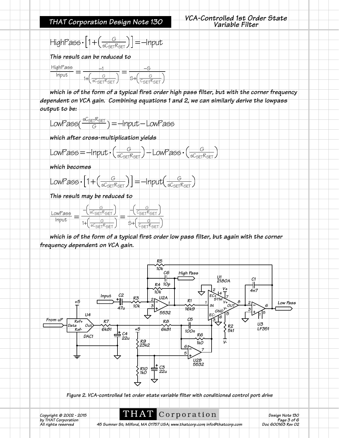$$
\text{HighPass} \cdot \left[ 1 + \left( \frac{G}{\text{SC}_{\text{SET}} \text{R}_{\text{SET}}} \right) \right] = -\text{Input}
$$

*This result can be reduced to*

$$
\frac{\text{HighPass}}{\text{Input}} = \frac{-1}{1 + \left(\frac{G}{\text{SCSET}^T \text{SET}}\right)} = \frac{-G}{\text{S} + \left(\frac{G}{\text{CET}^T \text{SET}}\right)}
$$

*which is of the form of a typical first order high pass filter, but with the corner frequency dependent on VCA gain. Combining equations 1 and 2, we can similarly derive the lowpass output to be:* 

$$
LowPase(\frac{6C_{SET}R_{SET}}{G}) = -Input - LowPase
$$

*which after cross-multiplication yields*

$$
\text{LowPass} = -\text{Input} \cdot \left( \frac{G}{\text{SC}_{\text{SET}} R_{\text{SET}}} \right) - \text{LowPass} \cdot \left( \frac{G}{\text{SC}_{\text{SET}} R_{\text{SET}}} \right)
$$

*which becomes*

$$
\text{LowPass} \cdot \left[1 + \left(\frac{G}{\text{SC}_{\text{SET}} \text{R}_{\text{SET}}}\right)\right] = -\text{Input} \left(\frac{G}{\text{SC}_{\text{SET}} \text{R}_{\text{SET}}}\right)
$$

*This result may be reduced to*

$$
\frac{\text{LowPass}}{\text{Input}} = \frac{-\left(\frac{G}{\text{SCSET}R_{\text{SET}}}\right)}{1 + \left(\frac{G}{\text{SCSET}R_{\text{SET}}}\right)} = \frac{-\left(\frac{G}{C_{\text{SET}}R_{\text{SET}}}\right)}{5 + \left(\frac{G}{C_{\text{SET}}R_{\text{SET}}}\right)}
$$

*which is of the form of a typical first order low pass filter, but again with the corner frequency dependent on VCA gain.*



*Figure 2. VCA-controlled 1st order state variable filter with conditioned control port drive*

| Copyright © 2002 - 2015 | <b>THAT</b> Corporation                                                 | Desian Note 130   |
|-------------------------|-------------------------------------------------------------------------|-------------------|
| by THAT Corporation     |                                                                         | Paae 3 of 6       |
| All rights reserved     | 45 Sumner St; Milford, MA 01757 USA; www.thatcorp.com info@thatcorp.com | Doc 600163 Rev 02 |
|                         |                                                                         |                   |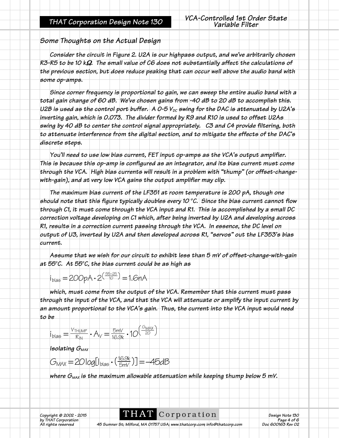### *Some Thoughts on the Actual Design*

*Consider the circuit in Figure 2. U2A is our highpass output, and we've arbitrarily chosen R3-R5 to be 10 k*Ω*. The small value of C6 does not substantially affect the calculations of the previous section, but does reduce peaking that can occur well above the audio band with some op-amps.*

*Since corner frequency is proportional to gain, we can sweep the entire audio band with a total gain change of 60 dB. We've chosen gains from -40 dB to 20 dB to accomplish this. U2B is used as the control port buffer. A 0-5*  $V_{DC}$  *swing for the DAC is attenuated by U2A's inverting gain, which is 0.073. The divider formed by R9 and R10 is used to offset U2As swing by 40 dB to center the control signal appropriately. C3 and C4 provide filtering, both to attenuate interference from the digital section, and to mitigate the effects of the DAC's discrete steps.*

*You'll need to use low bias current, FET input op-amps as the VCA's output amplifier. This is because this op-amp is configured as an integrator, and its bias current must come through the VCA. High bias currents will result in a problem with "thump" (or offset-changewith-gain), and at very low VCA gains the output amplifier may clip.*

*The maximum bias current of the LF351 at room temperature is 200 pA, though one* should note that this figure typically doubles every 10 °C. Since the bias current cannot flow *through C1, it must come through the VCA input and R1. This is accomplished by a small DC correction voltage developing on C1 which, after being inverted by U2A and developing across R1, results in a correction current passing through the VCA. In essence, the DC level on output of U3, inverted by U2A and then developed across R1, "servos" out the LF353's bias current.*

*Assume that we wish for our circuit to exhibit less than 5 mV of offset-change-with-gain at 55o C. At 55o C, the bias current could be as high as*

$$
i_{bias} = 200pA \cdot 2^{\left(\frac{55-25}{10}\right)} = 1.6nA
$$

*which, must come from the output of the VCA. Remember that this current must pass through the input of the VCA, and that the VCA will attenuate or amplify the input current by an amount proportional to the VCA's gain. Thus, the current into the VCA input would need to be*

$$
i_{bias} = \frac{v_{\text{THUMP}}}{R_{\text{IN}}} \cdot A_V = \frac{5 \text{mV}}{16.9 \text{k}} \cdot 10^{\left(\frac{G_{\text{MAX}}}{20}\right)}
$$

*Isolating*  $G_{\text{MAX}}$ 

$$
G_{\text{MAX}} = 20 \log[|_{\text{bias}} \cdot (\frac{16.9k}{5m})] = -45dB
$$

where G<sub>MAX</sub> is the maximum allowable attenuation while keeping thump below 5 mV.

*Copyright © 2002 - 2015*<br>*by THAT Corporation*<br>All rights reserved

**COPPOFATO COPY**<br> *E*; Milford, MA 01757 USA; www.thatcorp.com info@thatcorp.com<br> *Page 4 of 6*<br> *Doc 600163 Rev 02*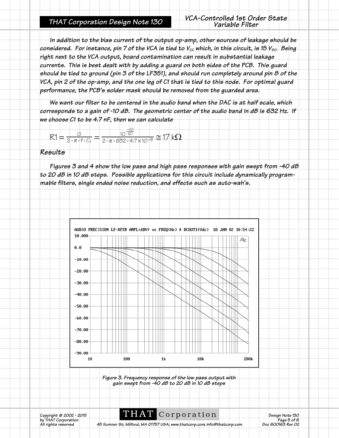*In addition to the bias current of the output op-amp, other sources of leakage should be considered. For instance, pin 7 of the VCA is tied to*  $V_{cc}$  *which, in this circuit, is 15*  $V_{DC}$ *. Being right next to the VCA output, board contamination can result in substantial leakage currents. This is best dealt with by adding a guard on both sides of the PCB. This guard should be tied to ground (pin 3 of the LF351), and should run completely around pin 8 of the VCA, pin 2 of the op-amp, and the one leg of C1 that is tied to this node. For optimal guard performance, the PCB's solder mask should be removed from the guarded area.*

*We want our filter to be centered in the audio band when the DAC is at half scale, which corresponds to a gain of -10 dB. The geometric center of the audio band in dB is 632 Hz. If we choose C1 to be 4.7 nF, then we can calculate*

$$
R1 = \frac{G}{2 \cdot \pi \cdot f \cdot C_1} = \frac{10^{-\frac{10}{20}}}{2 \cdot \pi \cdot 632 \cdot 4.7 \times 10^{-9}} \approx 17 \text{ k}\Omega
$$

#### *Results*

*Figures 3 and 4 show the low pass and high pass responses with gain swept from -40 dB to 20 dB in 10 dB steps. Possible applications for this circuit include dynamically programmable filters, single ended noise reduction, and effects such as auto-wah's.*